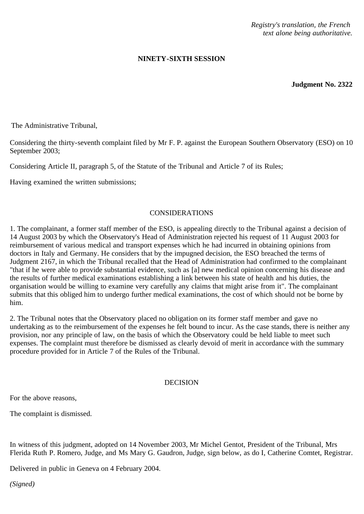*Registry's translation, the French text alone being authoritative.*

## **NINETY-SIXTH SESSION**

**Judgment No. 2322**

The Administrative Tribunal,

Considering the thirty-seventh complaint filed by Mr F. P. against the European Southern Observatory (ESO) on 10 September 2003;

Considering Article II, paragraph 5, of the Statute of the Tribunal and Article 7 of its Rules;

Having examined the written submissions;

## CONSIDERATIONS

1. The complainant, a former staff member of the ESO, is appealing directly to the Tribunal against a decision of 14 August 2003 by which the Observatory's Head of Administration rejected his request of 11 August 2003 for reimbursement of various medical and transport expenses which he had incurred in obtaining opinions from doctors in Italy and Germany. He considers that by the impugned decision, the ESO breached the terms of Judgment 2167, in which the Tribunal recalled that the Head of Administration had confirmed to the complainant "that if he were able to provide substantial evidence, such as [a] new medical opinion concerning his disease and the results of further medical examinations establishing a link between his state of health and his duties, the organisation would be willing to examine very carefully any claims that might arise from it". The complainant submits that this obliged him to undergo further medical examinations, the cost of which should not be borne by him.

2. The Tribunal notes that the Observatory placed no obligation on its former staff member and gave no undertaking as to the reimbursement of the expenses he felt bound to incur. As the case stands, there is neither any provision, nor any principle of law, on the basis of which the Observatory could be held liable to meet such expenses. The complaint must therefore be dismissed as clearly devoid of merit in accordance with the summary procedure provided for in Article 7 of the Rules of the Tribunal.

## DECISION

For the above reasons,

The complaint is dismissed.

In witness of this judgment, adopted on 14 November 2003, Mr Michel Gentot, President of the Tribunal, Mrs Flerida Ruth P. Romero, Judge, and Ms Mary G. Gaudron, Judge, sign below, as do I, Catherine Comtet, Registrar.

Delivered in public in Geneva on 4 February 2004.

*(Signed)*